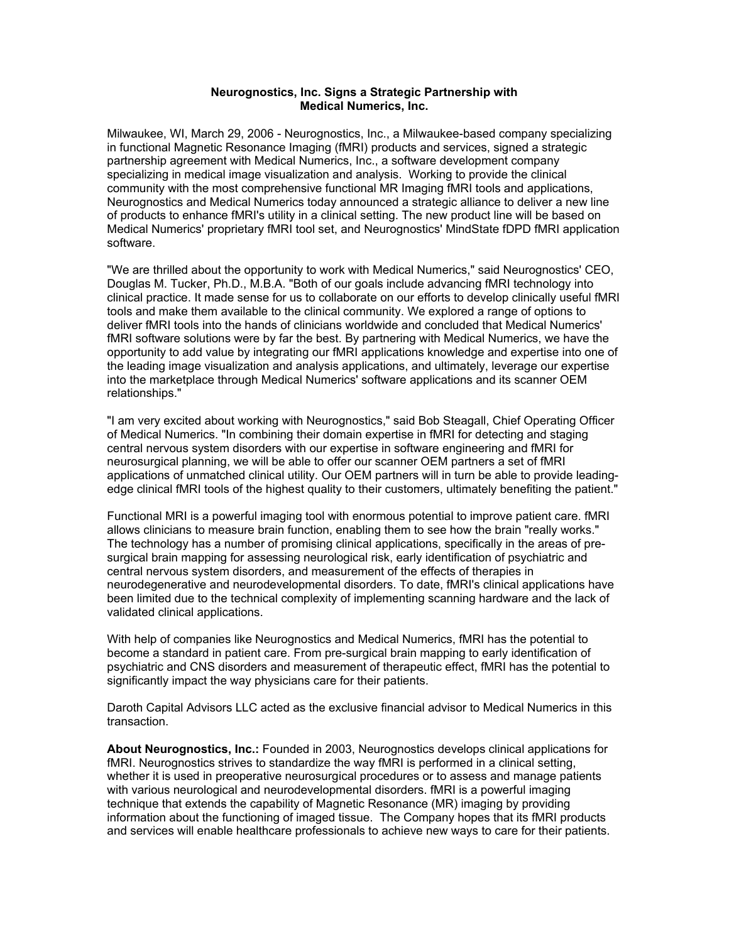## **Neurognostics, Inc. Signs a Strategic Partnership with Medical Numerics, Inc.**

Milwaukee, WI, March 29, 2006 - Neurognostics, Inc., a Milwaukee-based company specializing in functional Magnetic Resonance Imaging (fMRI) products and services, signed a strategic partnership agreement with Medical Numerics, Inc., a software development company specializing in medical image visualization and analysis. Working to provide the clinical community with the most comprehensive functional MR Imaging fMRI tools and applications, Neurognostics and Medical Numerics today announced a strategic alliance to deliver a new line of products to enhance fMRI's utility in a clinical setting. The new product line will be based on Medical Numerics' proprietary fMRI tool set, and Neurognostics' MindState fDPD fMRI application software.

"We are thrilled about the opportunity to work with Medical Numerics," said Neurognostics' CEO, Douglas M. Tucker, Ph.D., M.B.A. "Both of our goals include advancing fMRI technology into clinical practice. It made sense for us to collaborate on our efforts to develop clinically useful fMRI tools and make them available to the clinical community. We explored a range of options to deliver fMRI tools into the hands of clinicians worldwide and concluded that Medical Numerics' fMRI software solutions were by far the best. By partnering with Medical Numerics, we have the opportunity to add value by integrating our fMRI applications knowledge and expertise into one of the leading image visualization and analysis applications, and ultimately, leverage our expertise into the marketplace through Medical Numerics' software applications and its scanner OEM relationships."

"I am very excited about working with Neurognostics," said Bob Steagall, Chief Operating Officer of Medical Numerics. "In combining their domain expertise in fMRI for detecting and staging central nervous system disorders with our expertise in software engineering and fMRI for neurosurgical planning, we will be able to offer our scanner OEM partners a set of fMRI applications of unmatched clinical utility. Our OEM partners will in turn be able to provide leadingedge clinical fMRI tools of the highest quality to their customers, ultimately benefiting the patient."

Functional MRI is a powerful imaging tool with enormous potential to improve patient care. fMRI allows clinicians to measure brain function, enabling them to see how the brain "really works." The technology has a number of promising clinical applications, specifically in the areas of presurgical brain mapping for assessing neurological risk, early identification of psychiatric and central nervous system disorders, and measurement of the effects of therapies in neurodegenerative and neurodevelopmental disorders. To date, fMRI's clinical applications have been limited due to the technical complexity of implementing scanning hardware and the lack of validated clinical applications.

With help of companies like Neurognostics and Medical Numerics, fMRI has the potential to become a standard in patient care. From pre-surgical brain mapping to early identification of psychiatric and CNS disorders and measurement of therapeutic effect, fMRI has the potential to significantly impact the way physicians care for their patients.

Daroth Capital Advisors LLC acted as the exclusive financial advisor to Medical Numerics in this transaction.

**About Neurognostics, Inc.:** Founded in 2003, Neurognostics develops clinical applications for fMRI. Neurognostics strives to standardize the way fMRI is performed in a clinical setting, whether it is used in preoperative neurosurgical procedures or to assess and manage patients with various neurological and neurodevelopmental disorders. fMRI is a powerful imaging technique that extends the capability of Magnetic Resonance (MR) imaging by providing information about the functioning of imaged tissue. The Company hopes that its fMRI products and services will enable healthcare professionals to achieve new ways to care for their patients.